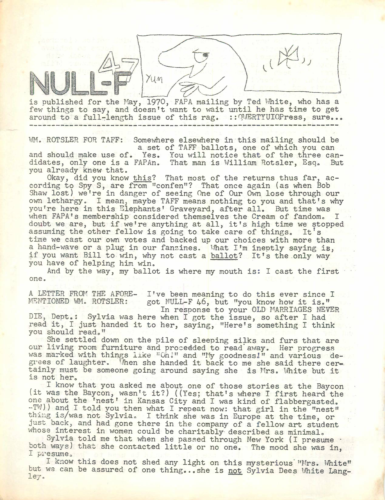is published for the May, 1970, FAPA mailing by Ted White, who has a few things to say, and doesn't want to wait until he has time to get around to a full-length issue of this rag. :: QWERTYUIOPress, sure... 

WM. ROTSLER FOR TAFF: Somewhere elsewhere in this mailing should be a set of TAFF ballots, one of which you can and should make use of. Yes. You will notice that of the three candidates, only one is a FAPAn. That man is William Rotsler, Esq. But you already knew that.

Okay, did you know this? That most of the returns thus far, according to Spy S, are from ''confen"? That once again (as when Bob Shaw lost) we're in danger of seeing One of Our Own lose through our own lethargy. I mean, maybe TAFF means nothing to you and that's why you're here in this Elephants' Graveyard, after all. But time was when FAPA's membership considered themselves the Cream of fandom. I doubt we are, but if we're anything at all, it's high time we stopped assuming the other fellow is going to take care of things. It's time we cast our own votes and backed up our choices with more than <sup>a</sup> hand-wave or a plug in our fanzines. What I'm ineptly saying is, if you want Bill to win, why not cast a ballot? It's the only way you have of helping him win.

And by the way, my ballot is where my mouth is: I cast the first one.

A LETTER FROM THE AFORE- I've been meaning to do this ever since I<br>MENTIONED WM. ROTSLER: got NULL-F 46, but "vou know how it is." got NULL-F  $46$ , but "you know how it is." In response to your OLD MARRIAGES NEVER

DIE, Dept.: Sylvia was here when I got the issue, so after I had read it, I just handed it to her, saying, ''Here's something I think you should read."

She settled down on the pile of sleeping silks and furs that are our living room furniture and procedded to read' away. Her progress was marked with things like "Oh!" and "My goodness!" and various degrees of laughter. Then she handed it back to me she said there certainly must be someone going around saying she is Mrs. White but it is not her.

. I know that you asked me about one of those stories at the Baycon (it was the Baycon, wasn't it?) ((Yes; that's where I first heard the one about the 'nest' in Kansas City and I was kind of flabbergasted. -TW)) and I told you then what I repeat now: that girl in the "nest" thing is/was not Sylvia. I think she was in Europe at the time, or just back, and had gone there in the company of a fellow art student whose interest in women could be charitably described as minimal.

Sylvia told me that when she passed through New York (I presume  $\cdot$ both ways) that she contacted little or no one. The mood she was in, I presume.

I know this does not shed any light on this mysterious "Mrs. White" but we can be assured of one thing...she is not Sylvia Dees White Lang- $1e$ <sub> $\overline{y}$ </sub>